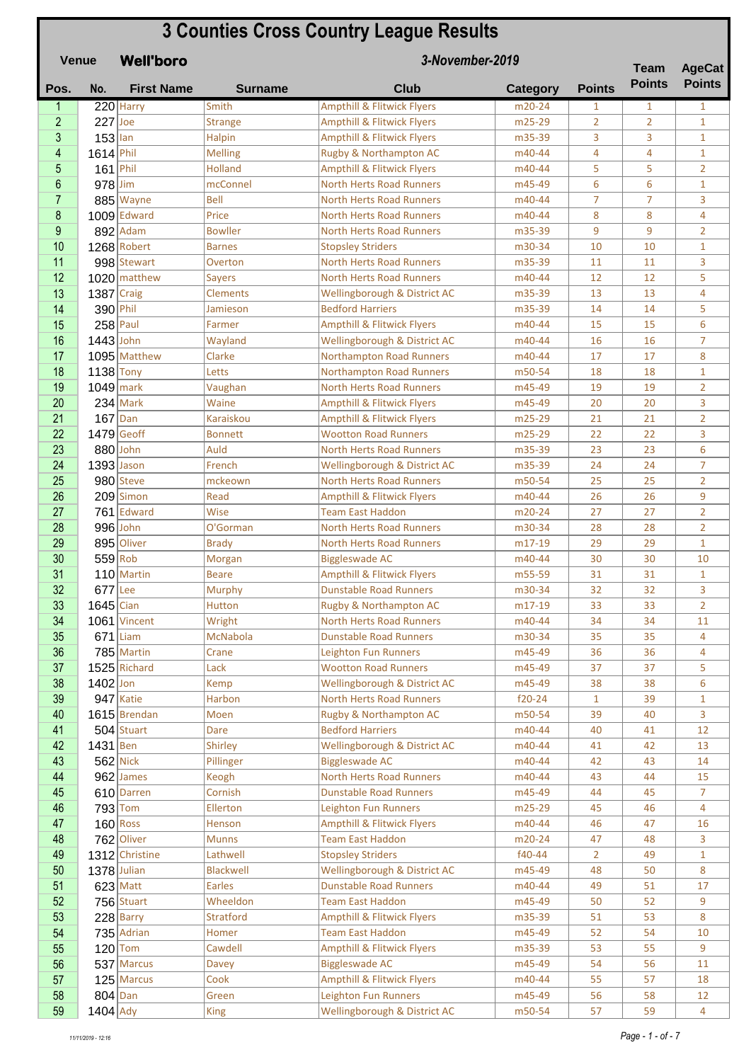## **3 Counties Cross Country League Results**

| <b>Venue</b>   |              | <b>Well'boro</b>             | 3-November-2019              |                                                                    |                  |                |                | <b>AgeCat</b>                  |
|----------------|--------------|------------------------------|------------------------------|--------------------------------------------------------------------|------------------|----------------|----------------|--------------------------------|
| Pos.           | No.          | <b>First Name</b>            | <b>Surname</b>               | <b>Club</b>                                                        | <b>Category</b>  | <b>Points</b>  | <b>Points</b>  | <b>Points</b>                  |
| 1              |              | $220$ Harry                  | Smith                        | <b>Ampthill &amp; Flitwick Flyers</b>                              | m20-24           | 1              | 1              | $\mathbf{1}$                   |
| $\overline{2}$ | $227$ Joe    |                              | <b>Strange</b>               | <b>Ampthill &amp; Flitwick Flyers</b>                              | m25-29           | $\overline{2}$ | $\overline{2}$ | $\mathbf{1}$                   |
| 3              | $153$ lan    |                              | Halpin                       | <b>Ampthill &amp; Flitwick Flyers</b>                              | m35-39           | 3              | 3              | $\mathbf{1}$                   |
| 4              | $1614$ Phil  |                              | <b>Melling</b>               | Rugby & Northampton AC                                             | m40-44           | 4              | 4              | $\mathbf{1}$                   |
| 5              | $161$ Phil   |                              | <b>Holland</b>               | <b>Ampthill &amp; Flitwick Flyers</b>                              | m40-44           | 5              | 5              | $\overline{2}$                 |
| 6              | $978$ Jim    |                              | mcConnel                     | <b>North Herts Road Runners</b>                                    | m45-49           | 6              | 6              | $\mathbf{1}$                   |
| $\overline{7}$ |              | 885 Wayne                    | <b>Bell</b>                  | <b>North Herts Road Runners</b>                                    | m40-44           | $\overline{7}$ | $\overline{7}$ | 3                              |
| 8              |              | 1009 Edward                  | Price                        | <b>North Herts Road Runners</b>                                    | m40-44           | 8              | 8              | 4                              |
| $9\,$          |              | $892$ Adam                   | <b>Bowller</b>               | <b>North Herts Road Runners</b>                                    | m35-39           | 9              | 9              | $\overline{2}$                 |
| 10             |              | 1268 Robert                  | <b>Barnes</b>                | <b>Stopsley Striders</b>                                           | m30-34           | 10             | 10             | $\mathbf{1}$                   |
| 11             |              | 998 Stewart                  | Overton                      | <b>North Herts Road Runners</b>                                    | m35-39           | 11             | 11             | 3                              |
| 12             |              | 1020 matthew                 | <b>Sayers</b>                | <b>North Herts Road Runners</b>                                    | m40-44           | 12             | 12             | 5                              |
| 13             | $1387$ Craig |                              | <b>Clements</b>              | Wellingborough & District AC                                       | m35-39           | 13             | 13             | 4                              |
| 14             | $390$ Phil   |                              | Jamieson                     | <b>Bedford Harriers</b>                                            | m35-39           | 14             | 14             | 5<br>6                         |
| 15<br>16       |              | $258$ Paul                   | Farmer                       | <b>Ampthill &amp; Flitwick Flyers</b>                              | m40-44           | 15             | 15             |                                |
| 17             | 1443 John    | 1095 Matthew                 | Wayland                      | Wellingborough & District AC                                       | m40-44           | 16<br>17       | 16<br>17       | 7<br>8                         |
| 18             | $1138$ Tony  |                              | Clarke                       | <b>Northampton Road Runners</b>                                    | m40-44           |                |                |                                |
| 19             |              | $1049$ mark                  | Letts                        | <b>Northampton Road Runners</b><br><b>North Herts Road Runners</b> | m50-54<br>m45-49 | 18<br>19       | 18<br>19       | $\mathbf{1}$<br>$\overline{2}$ |
| 20             |              | $234$ Mark                   | Vaughan<br>Waine             | <b>Ampthill &amp; Flitwick Flyers</b>                              | m45-49           | 20             | 20             | 3                              |
| 21             |              | $167$ Dan                    | Karaiskou                    | <b>Ampthill &amp; Flitwick Flyers</b>                              | m25-29           | 21             | 21             | $\overline{2}$                 |
| 22             |              | $1479$ Geoff                 | <b>Bonnett</b>               | <b>Wootton Road Runners</b>                                        | m25-29           | 22             | 22             | 3                              |
| 23             |              | 880 John                     | Auld                         | <b>North Herts Road Runners</b>                                    | m35-39           | 23             | 23             | 6                              |
| 24             |              | $1393$ Jason                 | French                       | Wellingborough & District AC                                       | m35-39           | 24             | 24             | $\overline{7}$                 |
| 25             |              | 980 Steve                    | mckeown                      | <b>North Herts Road Runners</b>                                    | m50-54           | 25             | 25             | $\overline{2}$                 |
| 26             |              | $209$ Simon                  | Read                         | <b>Ampthill &amp; Flitwick Flyers</b>                              | m40-44           | 26             | 26             | 9                              |
| 27             |              | 761 Edward                   | Wise                         | <b>Team East Haddon</b>                                            | m20-24           | 27             | 27             | $\overline{2}$                 |
| 28             |              | 996 John                     | O'Gorman                     | North Herts Road Runners                                           | m30-34           | 28             | 28             | $\overline{2}$                 |
| 29             |              | 895 Oliver                   | <b>Brady</b>                 | <b>North Herts Road Runners</b>                                    | m17-19           | 29             | 29             | $\mathbf{1}$                   |
| 30             | $559$ Rob    |                              | Morgan                       | <b>Biggleswade AC</b>                                              | m40-44           | 30             | 30             | 10                             |
| 31             |              | $110$ Martin                 | <b>Beare</b>                 | <b>Ampthill &amp; Flitwick Flyers</b>                              | m55-59           | 31             | 31             | $\mathbf{1}$                   |
| 32             | $677$ Lee    |                              | Murphy                       | <b>Dunstable Road Runners</b>                                      | m30-34           | 32             | 32             | 3                              |
| 33             | $1645$ Cian  |                              | Hutton                       | Rugby & Northampton AC                                             | m17-19           | 33             | 33             | $\overline{2}$                 |
| 34             |              | 1061 Vincent                 | Wright                       | <b>North Herts Road Runners</b>                                    | m40-44           | 34             | 34             | 11                             |
| 35             |              | $671$ Liam                   | <b>McNabola</b>              | <b>Dunstable Road Runners</b>                                      | m30-34           | 35             | 35             | 4                              |
| 36             |              | $785$ Martin                 | Crane                        | Leighton Fun Runners                                               | m45-49           | 36             | 36             | 4                              |
| 37             |              | 1525 Richard                 | Lack                         | <b>Wootton Road Runners</b>                                        | m45-49           | 37             | 37             | 5                              |
| 38             | $1402$ Jon   |                              | Kemp                         | Wellingborough & District AC                                       | m45-49           | 38             | 38             | 6                              |
| 39             |              | $947$ Katie                  | Harbon                       | <b>North Herts Road Runners</b>                                    | $f20-24$         | $\mathbf{1}$   | 39             | $\mathbf{1}$                   |
| 40             |              | $1615$ Brendan               | Moen                         | Rugby & Northampton AC                                             | m50-54           | 39             | 40             | 3                              |
| 41             |              | $504$ Stuart                 | Dare                         | <b>Bedford Harriers</b>                                            | m40-44           | 40             | 41             | 12                             |
| 42             | $1431$ Ben   |                              | Shirley                      | Wellingborough & District AC                                       | m40-44           | 41             | 42             | 13                             |
| 43             |              | $562$ Nick                   | Pillinger                    | <b>Biggleswade AC</b>                                              | m40-44           | 42             | 43             | 14                             |
| 44             |              | $962$ James                  | Keogh                        | <b>North Herts Road Runners</b>                                    | m40-44           | 43             | 44             | 15                             |
| 45             |              | 610 Darren                   | Cornish                      | <b>Dunstable Road Runners</b>                                      | m45-49           | 44             | 45             | $\overline{7}$                 |
| 46             |              | $793$ Tom                    | Ellerton                     | Leighton Fun Runners                                               | m25-29           | 45             | 46             | 4                              |
| 47             |              | $160$ Ross                   | Henson                       | <b>Ampthill &amp; Flitwick Flyers</b>                              | m40-44           | 46             | 47             | 16                             |
| 48             |              | 762 Oliver<br>1312 Christine | <b>Munns</b>                 | <b>Team East Haddon</b>                                            | m20-24<br>f40-44 | 47             | 48             | 3                              |
| 49             |              | $1378$ Julian                | Lathwell<br><b>Blackwell</b> | <b>Stopsley Striders</b><br>Wellingborough & District AC           | m45-49           | 2<br>48        | 49             | $\mathbf{1}$                   |
| 50<br>51       |              | $623$ Matt                   | <b>Earles</b>                | <b>Dunstable Road Runners</b>                                      | m40-44           | 49             | 50<br>51       | 8<br>17                        |
| 52             |              | $756$ Stuart                 | Wheeldon                     | <b>Team East Haddon</b>                                            | m45-49           | 50             | 52             | 9                              |
| 53             |              | $228$ Barry                  | <b>Stratford</b>             | <b>Ampthill &amp; Flitwick Flyers</b>                              | m35-39           | 51             | 53             | 8                              |
| 54             |              | $735$ Adrian                 | Homer                        | <b>Team East Haddon</b>                                            | m45-49           | 52             | 54             | 10                             |
| 55             |              | $120$ Tom                    | Cawdell                      | <b>Ampthill &amp; Flitwick Flyers</b>                              | m35-39           | 53             | 55             | 9                              |
| 56             |              | 537 Marcus                   | <b>Davey</b>                 | <b>Biggleswade AC</b>                                              | m45-49           | 54             | 56             | 11                             |
| 57             |              | 125 Marcus                   | Cook                         | <b>Ampthill &amp; Flitwick Flyers</b>                              | m40-44           | 55             | 57             | 18                             |
| 58             |              | $804$ Dan                    | Green                        | <b>Leighton Fun Runners</b>                                        | m45-49           | 56             | 58             | 12                             |
| 59             | $1404$ Ady   |                              | King                         | Wellingborough & District AC                                       | m50-54           | 57             | 59             | 4                              |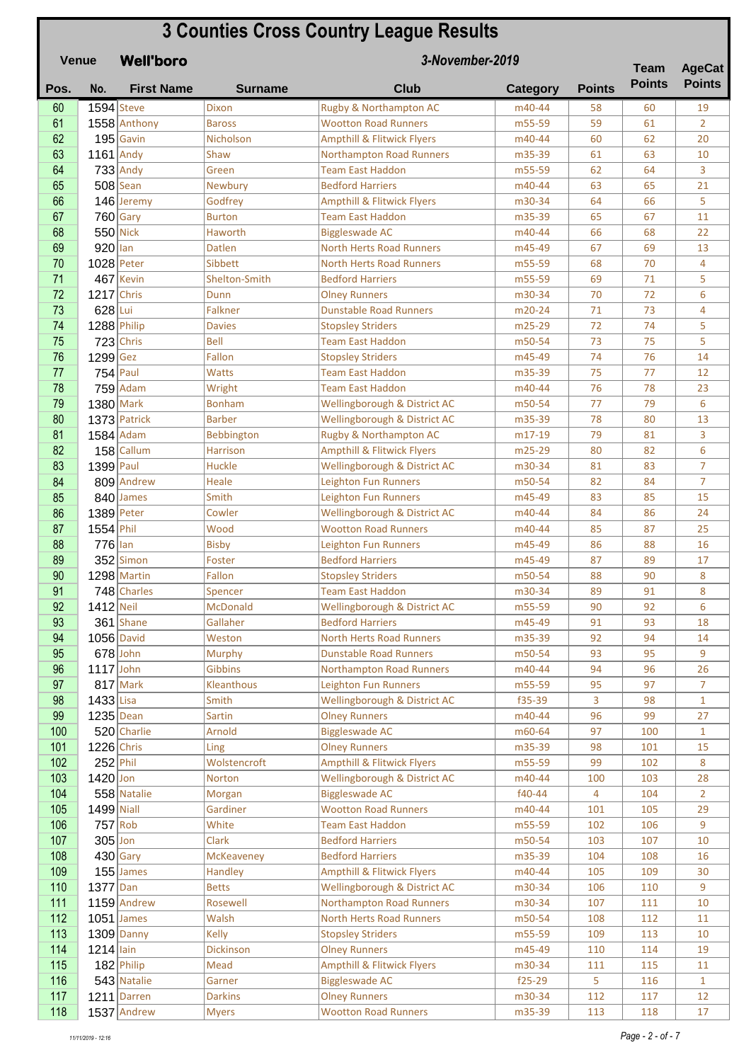| <b>3 Counties Cross Country League Results</b><br><b>Well'boro</b><br>3-November-2019<br><b>Venue</b> |              |                   |                   |                                                             |                  |               | <b>Team</b>   | <b>AgeCat</b>        |
|-------------------------------------------------------------------------------------------------------|--------------|-------------------|-------------------|-------------------------------------------------------------|------------------|---------------|---------------|----------------------|
| Pos.                                                                                                  | No.          | <b>First Name</b> | <b>Surname</b>    | <b>Club</b>                                                 | <b>Category</b>  | <b>Points</b> | <b>Points</b> | <b>Points</b>        |
| 60                                                                                                    |              | $1594$ Steve      | <b>Dixon</b>      | Rugby & Northampton AC                                      | m40-44           | 58            | 60            | 19                   |
| 61                                                                                                    |              | 1558 Anthony      | <b>Baross</b>     | <b>Wootton Road Runners</b>                                 | m55-59           | 59            | 61            | $\overline{2}$       |
| 62                                                                                                    |              | $195$ Gavin       | Nicholson         | <b>Ampthill &amp; Flitwick Flyers</b>                       | m40-44           | 60            | 62            | 20                   |
| 63                                                                                                    | $1161$ Andy  |                   | Shaw              | <b>Northampton Road Runners</b>                             | m35-39           | 61            | 63            | 10                   |
| 64                                                                                                    |              | $733$ Andy        | Green             | <b>Team East Haddon</b>                                     | m55-59           | 62            | 64            | 3                    |
| 65                                                                                                    |              | $508$ Sean        | Newbury           | <b>Bedford Harriers</b>                                     | m40-44           | 63            | 65            | 21                   |
| 66                                                                                                    |              | 146 Jeremy        | Godfrey           | <b>Ampthill &amp; Flitwick Flyers</b>                       | m30-34           | 64            | 66            | 5                    |
| 67                                                                                                    |              | $760$ Gary        | <b>Burton</b>     | <b>Team East Haddon</b>                                     | m35-39           | 65            | 67            | 11                   |
| 68<br>69                                                                                              | $920$ lan    | $550$ Nick        | Haworth<br>Datlen | <b>Biggleswade AC</b><br><b>North Herts Road Runners</b>    | m40-44<br>m45-49 | 66<br>67      | 68<br>69      | 22                   |
| 70                                                                                                    | $1028$ Peter |                   | Sibbett           | <b>North Herts Road Runners</b>                             | m55-59           | 68            | 70            | 13<br>4              |
| 71                                                                                                    |              | 467 Kevin         | Shelton-Smith     | <b>Bedford Harriers</b>                                     | m55-59           | 69            | 71            | 5                    |
| 72                                                                                                    | $1217$ Chris |                   | Dunn              | <b>Olney Runners</b>                                        | m30-34           | 70            | 72            | 6                    |
| 73                                                                                                    | 628 Lui      |                   | <b>Falkner</b>    | <b>Dunstable Road Runners</b>                               | m20-24           | 71            | 73            | 4                    |
| 74                                                                                                    |              | 1288 Philip       | <b>Davies</b>     | <b>Stopsley Striders</b>                                    | m25-29           | 72            | 74            | 5                    |
| 75                                                                                                    |              | $723$ Chris       | Bell              | <b>Team East Haddon</b>                                     | m50-54           | 73            | 75            | 5                    |
| 76                                                                                                    | 1299 Gez     |                   | Fallon            | <b>Stopsley Striders</b>                                    | m45-49           | 74            | 76            | 14                   |
| 77                                                                                                    |              | $754$ Paul        | Watts             | <b>Team East Haddon</b>                                     | m35-39           | 75            | 77            | 12                   |
| 78                                                                                                    |              | $759$ Adam        | Wright            | <b>Team East Haddon</b>                                     | m40-44           | 76            | 78            | 23                   |
| 79                                                                                                    | 1380 Mark    |                   | <b>Bonham</b>     | Wellingborough & District AC                                | m50-54           | 77            | 79            | 6                    |
| 80                                                                                                    |              | $1373$ Patrick    | <b>Barber</b>     | Wellingborough & District AC                                | m35-39           | 78            | 80            | 13                   |
| 81                                                                                                    |              | $1584$ Adam       | Bebbington        | Rugby & Northampton AC                                      | m17-19           | 79            | 81            | 3                    |
| 82                                                                                                    |              | 158 Callum        | Harrison          | <b>Ampthill &amp; Flitwick Flyers</b>                       | m25-29           | 80            | 82            | 6                    |
| 83                                                                                                    | $1399$ Paul  |                   | <b>Huckle</b>     | Wellingborough & District AC                                | m30-34           | 81            | 83            | $\overline{7}$       |
| 84<br>85                                                                                              |              | 809 Andrew        | Heale<br>Smith    | <b>Leighton Fun Runners</b>                                 | m50-54<br>m45-49 | 82<br>83      | 84<br>85      | $\overline{7}$<br>15 |
| 86                                                                                                    | $1389$ Peter | 840 James         | Cowler            | <b>Leighton Fun Runners</b><br>Wellingborough & District AC | m40-44           | 84            | 86            | 24                   |
| 87                                                                                                    | 1554 Phil    |                   | Wood              | <b>Wootton Road Runners</b>                                 | m40-44           | 85            | 87            | 25                   |
| 88                                                                                                    | $776$ lan    |                   | <b>Bisby</b>      | <b>Leighton Fun Runners</b>                                 | m45-49           | 86            | 88            | 16                   |
| 89                                                                                                    |              | $352$ Simon       | Foster            | <b>Bedford Harriers</b>                                     | m45-49           | 87            | 89            | 17                   |
| 90                                                                                                    |              | 1298 Martin       | Fallon            | <b>Stopsley Striders</b>                                    | m50-54           | 88            | 90            | 8                    |
| 91                                                                                                    |              | $748$ Charles     | Spencer           | Team East Haddon                                            | m30-34           | 89            | 91            | 8                    |
| 92                                                                                                    | $1412$ Neil  |                   | <b>McDonald</b>   | Wellingborough & District AC                                | m55-59           | 90            | 92            | 6                    |
| 93                                                                                                    |              | $361$ Shane       | Gallaher          | <b>Bedford Harriers</b>                                     | m45-49           | 91            | 93            | 18                   |
| 94                                                                                                    |              | $1056$ David      | Weston            | <b>North Herts Road Runners</b>                             | m35-39           | 92            | 94            | 14                   |
| 95                                                                                                    |              | $678$ John        | Murphy            | <b>Dunstable Road Runners</b>                               | m50-54           | 93            | 95            | 9                    |
| 96                                                                                                    | $1117$ John  |                   | Gibbins           | <b>Northampton Road Runners</b>                             | m40-44           | 94            | 96            | 26                   |
| 97                                                                                                    |              | $817$ Mark        | Kleanthous        | <b>Leighton Fun Runners</b>                                 | m55-59           | 95            | 97            | $\overline{7}$       |
| 98                                                                                                    | $1433$ Lisa  |                   | Smith             | Wellingborough & District AC                                | f35-39           | 3             | 98            | $\mathbf{1}$         |
| 99                                                                                                    | $1235$ Dean  |                   | Sartin            | <b>Olney Runners</b>                                        | m40-44           | 96            | 99            | 27                   |
| 100<br>101                                                                                            | $1226$ Chris | 520 Charlie       | Arnold<br>Ling    | <b>Biggleswade AC</b><br><b>Olney Runners</b>               | m60-64<br>m35-39 | 97<br>98      | 100<br>101    | $\mathbf{1}$<br>15   |
| 102                                                                                                   | $252$ Phil   |                   | Wolstencroft      | <b>Ampthill &amp; Flitwick Flyers</b>                       | m55-59           | 99            | 102           | 8                    |
| 103                                                                                                   | $1420$ Jon   |                   | Norton            | Wellingborough & District AC                                | m40-44           | 100           | 103           | 28                   |
| 104                                                                                                   |              | 558 Natalie       | Morgan            | <b>Biggleswade AC</b>                                       | f40-44           | 4             | 104           | $\overline{2}$       |
| 105                                                                                                   | $1499$ Niall |                   | Gardiner          | <b>Wootton Road Runners</b>                                 | m40-44           | 101           | 105           | 29                   |
| 106                                                                                                   |              | $757$ Rob         | White             | <b>Team East Haddon</b>                                     | m55-59           | 102           | 106           | 9                    |
| 107                                                                                                   | $305$ Jon    |                   | <b>Clark</b>      | <b>Bedford Harriers</b>                                     | m50-54           | 103           | 107           | 10                   |
| 108                                                                                                   |              | $430$ Gary        | <b>McKeaveney</b> | <b>Bedford Harriers</b>                                     | m35-39           | 104           | 108           | 16                   |
| 109                                                                                                   |              | $155$ James       | Handley           | <b>Ampthill &amp; Flitwick Flyers</b>                       | m40-44           | 105           | 109           | 30                   |
| 110                                                                                                   | $1377$ Dan   |                   | <b>Betts</b>      | Wellingborough & District AC                                | m30-34           | 106           | 110           | 9                    |
| 111                                                                                                   |              | 1159 Andrew       | Rosewell          | Northampton Road Runners                                    | m30-34           | 107           | 111           | 10                   |
| 112                                                                                                   |              | $1051$ James      | Walsh             | <b>North Herts Road Runners</b>                             | m50-54           | 108           | 112           | 11                   |
| 113                                                                                                   |              | $1309$ Danny      | Kelly             | <b>Stopsley Striders</b>                                    | m55-59           | 109           | 113           | 10                   |
| 114                                                                                                   | $1214$ lain  |                   | Dickinson         | <b>Olney Runners</b>                                        | m45-49           | 110           | 114           | 19                   |
| 115                                                                                                   |              | $182$ Philip      | Mead              | <b>Ampthill &amp; Flitwick Flyers</b>                       | m30-34           | 111           | 115           | 11                   |
| 116                                                                                                   |              | 543 Natalie       | Garner            | <b>Biggleswade AC</b>                                       | $f25-29$         | 5             | 116           | $\mathbf{1}$         |
| 117                                                                                                   |              | 1211 Darren       | <b>Darkins</b>    | <b>Olney Runners</b>                                        | m30-34           | 112           | 117           | 12                   |
| 118                                                                                                   |              | 1537 Andrew       | <b>Myers</b>      | <b>Wootton Road Runners</b>                                 | m35-39           | 113           | 118           | 17                   |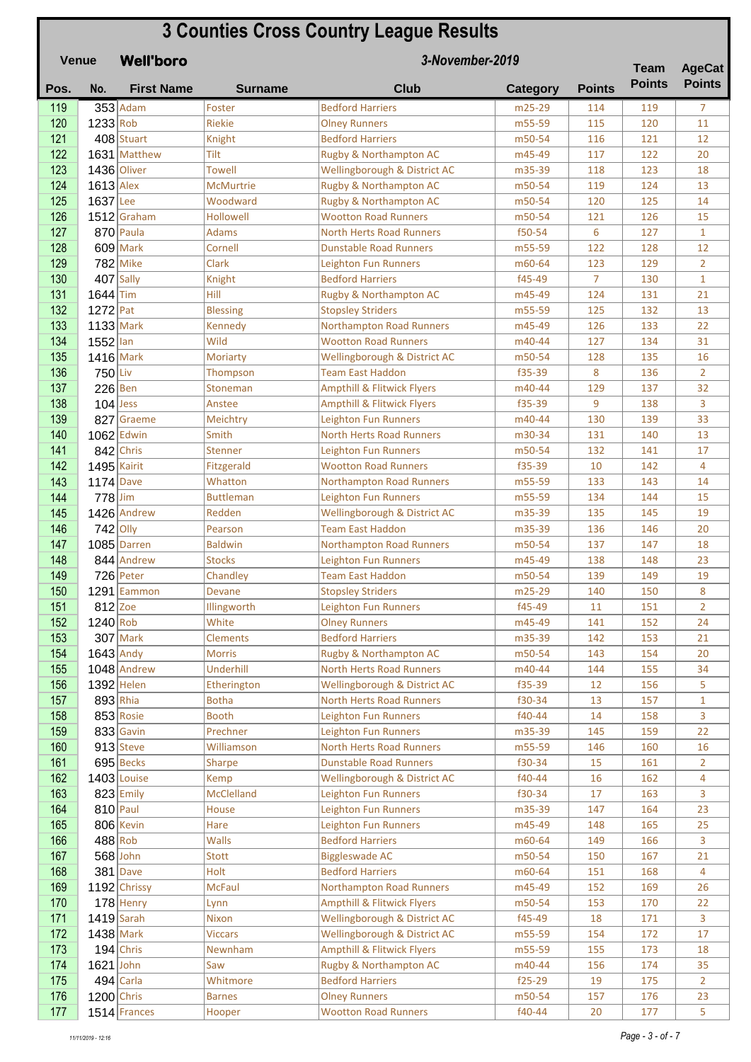# **3 Counties Cross Country League Results**

| <b>Venue</b><br><b>Well'boro</b> |                          | 3-November-2019            |                          |                                                            |                  |                | <b>AgeCat</b> |                      |
|----------------------------------|--------------------------|----------------------------|--------------------------|------------------------------------------------------------|------------------|----------------|---------------|----------------------|
| Pos.                             | No.                      | <b>First Name</b>          | <b>Surname</b>           | <b>Club</b>                                                | <b>Category</b>  | <b>Points</b>  | <b>Points</b> | <b>Points</b>        |
| 119                              |                          | $353$ Adam                 | Foster                   | <b>Bedford Harriers</b>                                    | m25-29           | 114            | 119           | 7                    |
| 120                              | 1233 Rob                 |                            | <b>Riekie</b>            | <b>Olney Runners</b>                                       | m55-59           | 115            | 120           | 11                   |
| 121                              |                          | 408 Stuart                 | Knight                   | <b>Bedford Harriers</b>                                    | m50-54           | 116            | 121           | 12                   |
| 122                              |                          | 1631 Matthew               | Tilt                     | Rugby & Northampton AC                                     | m45-49           | 117            | 122           | 20                   |
| 123                              |                          | 1436 Oliver                | <b>Towell</b>            | Wellingborough & District AC                               | m35-39           | 118            | 123           | 18                   |
| 124                              | $1613$ Alex              |                            | <b>McMurtrie</b>         | Rugby & Northampton AC                                     | m50-54           | 119            | 124           | 13                   |
| 125                              | 1637 Lee                 |                            | Woodward                 | Rugby & Northampton AC                                     | m50-54           | 120            | 125           | 14                   |
| 126                              |                          | $1512$ Graham              | Hollowell                | <b>Wootton Road Runners</b>                                | m50-54           | 121            | 126           | 15                   |
| 127                              |                          | 870 Paula                  | <b>Adams</b>             | <b>North Herts Road Runners</b>                            | f50-54           | 6              | 127           | $\mathbf{1}$         |
| 128                              |                          | $609$ Mark                 | Cornell                  | <b>Dunstable Road Runners</b>                              | m55-59           | 122            | 128           | 12                   |
| 129                              |                          | $782$ Mike                 | <b>Clark</b>             | <b>Leighton Fun Runners</b>                                | m60-64           | 123            | 129           | $\overline{2}$       |
| 130                              | $407$ Sally              |                            | Knight<br>Hill           | <b>Bedford Harriers</b>                                    | f45-49           | $\overline{7}$ | 130           | $\mathbf{1}$         |
| 131<br>132                       | $1644$ Tim<br>$1272$ Pat |                            | <b>Blessing</b>          | Rugby & Northampton AC<br><b>Stopsley Striders</b>         | m45-49<br>m55-59 | 124<br>125     | 131<br>132    | 21<br>13             |
| 133                              | $1133$ Mark              |                            | Kennedy                  | <b>Northampton Road Runners</b>                            | m45-49           | 126            | 133           | 22                   |
| 134                              | $1552$ lan               |                            | Wild                     | <b>Wootton Road Runners</b>                                | m40-44           | 127            | 134           | 31                   |
| 135                              | $1416$ Mark              |                            | Moriarty                 | Wellingborough & District AC                               | m50-54           | 128            | 135           | 16                   |
| 136                              | $750$ Liv                |                            | Thompson                 | <b>Team East Haddon</b>                                    | f35-39           | 8              | 136           | $\overline{2}$       |
| 137                              | $226$ Ben                |                            | Stoneman                 | <b>Ampthill &amp; Flitwick Flyers</b>                      | m40-44           | 129            | 137           | 32                   |
| 138                              | $104$ Jess               |                            | Anstee                   | <b>Ampthill &amp; Flitwick Flyers</b>                      | f35-39           | 9              | 138           | 3                    |
| 139                              |                          | 827 Graeme                 | Meichtry                 | <b>Leighton Fun Runners</b>                                | m40-44           | 130            | 139           | 33                   |
| 140                              |                          | $1062$ Edwin               | Smith                    | <b>North Herts Road Runners</b>                            | m30-34           | 131            | 140           | 13                   |
| 141                              |                          | 842 Chris                  | <b>Stenner</b>           | <b>Leighton Fun Runners</b>                                | m50-54           | 132            | 141           | 17                   |
| 142                              | 1495 Kairit              |                            | Fitzgerald               | <b>Wootton Road Runners</b>                                | f35-39           | 10             | 142           | 4                    |
| 143                              | $1174$ Dave              |                            | Whatton                  | <b>Northampton Road Runners</b>                            | m55-59           | 133            | 143           | 14                   |
| 144                              | $778$ Jim                |                            | <b>Buttleman</b>         | Leighton Fun Runners                                       | m55-59           | 134            | 144           | 15                   |
| 145                              |                          | 1426 Andrew                | Redden                   | Wellingborough & District AC                               | m35-39           | 135            | 145           | 19                   |
| 146                              | $742$ Olly               |                            | Pearson                  | <b>Team East Haddon</b>                                    | m35-39           | 136            | 146           | 20                   |
| 147                              |                          | 1085 Darren                | <b>Baldwin</b>           | <b>Northampton Road Runners</b>                            | m50-54           | 137            | 147           | 18                   |
| 148                              |                          | 844 Andrew                 | <b>Stocks</b>            | Leighton Fun Runners                                       | m45-49           | 138            | 148           | 23                   |
| 149                              |                          | $726$ Peter                | Chandley                 | <b>Team East Haddon</b>                                    | m50-54           | 139            | 149           | 19                   |
| 150                              |                          | $1291$ Eammon              | <b>Devane</b>            | <b>Stopsley Striders</b>                                   | m25-29           | 140            | 150           | 8                    |
| 151                              | $812$ Zoe                |                            | Illingworth              | Leighton Fun Runners                                       | f45-49           | 11             | 151           | $\overline{2}$       |
| 152                              | $1240$ Rob               |                            | White                    | <b>Olney Runners</b>                                       | m45-49           | 141            | 152           | 24                   |
| 153                              |                          | $307$ Mark                 | <b>Clements</b>          | <b>Bedford Harriers</b>                                    | m35-39           | 142            | 153           | 21                   |
| 154                              | $1643$ Andy              |                            | <b>Morris</b>            | Rugby & Northampton AC                                     | m50-54           | 143            | 154           | 20                   |
| 155                              |                          | $1048$ Andrew              | Underhill                | <b>North Herts Road Runners</b>                            | m40-44           | 144            | 155           | 34                   |
| 156                              |                          | $1392$ Helen               | Etherington              | Wellingborough & District AC                               | f35-39           | 12             | 156           | 5                    |
| 157                              | $893$ Rhia               |                            | <b>Botha</b>             | North Herts Road Runners                                   | f30-34           | 13             | 157           | $\mathbf{1}$         |
| 158<br>159                       |                          | $853$ Rosie                | <b>Booth</b><br>Prechner | <b>Leighton Fun Runners</b><br><b>Leighton Fun Runners</b> | f40-44           | 14<br>145      | 158<br>159    | $\overline{3}$<br>22 |
| 160                              |                          | $833$ Gavin<br>$913$ Steve | Williamson               | North Herts Road Runners                                   | m35-39<br>m55-59 | 146            | 160           | 16                   |
| 161                              |                          | 695 Becks                  | Sharpe                   | <b>Dunstable Road Runners</b>                              | f30-34           | 15             | 161           | $\overline{2}$       |
| 162                              |                          | $1403$ Louise              | Kemp                     | Wellingborough & District AC                               | f40-44           | 16             | 162           | 4                    |
| 163                              |                          | $823$ Emily                | McClelland               | Leighton Fun Runners                                       | f30-34           | 17             | 163           | 3                    |
| 164                              | $810$ Paul               |                            | House                    | <b>Leighton Fun Runners</b>                                | m35-39           | 147            | 164           | 23                   |
| 165                              |                          | 806 Kevin                  | Hare                     | <b>Leighton Fun Runners</b>                                | m45-49           | 148            | 165           | 25                   |
| 166                              | $488$ Rob                |                            | <b>Walls</b>             | <b>Bedford Harriers</b>                                    | m60-64           | 149            | 166           | 3                    |
| 167                              |                          | $568$ John                 | Stott                    | <b>Biggleswade AC</b>                                      | m50-54           | 150            | 167           | 21                   |
| 168                              |                          | $381$ Dave                 | Holt                     | <b>Bedford Harriers</b>                                    | m60-64           | 151            | 168           | 4                    |
| 169                              |                          | 1192 Chrissy               | McFaul                   | Northampton Road Runners                                   | m45-49           | 152            | 169           | 26                   |
| 170                              |                          | $178$ Henry                | Lynn                     | <b>Ampthill &amp; Flitwick Flyers</b>                      | m50-54           | 153            | 170           | 22                   |
| 171                              | $1419$ Sarah             |                            | Nixon                    | Wellingborough & District AC                               | f45-49           | 18             | 171           | 3                    |
| 172                              | $1438$ Mark              |                            | <b>Viccars</b>           | Wellingborough & District AC                               | m55-59           | 154            | 172           | 17                   |
| 173                              |                          | $194$ Chris                | Newnham                  | <b>Ampthill &amp; Flitwick Flyers</b>                      | m55-59           | 155            | 173           | 18                   |
| 174                              | $1621$ John              |                            | Saw                      | Rugby & Northampton AC                                     | m40-44           | 156            | 174           | 35                   |
| 175                              |                          | $494$ Carla                | Whitmore                 | <b>Bedford Harriers</b>                                    | $f25-29$         | 19             | 175           | $\overline{2}$       |
| 176                              | $1200$ Chris             |                            | <b>Barnes</b>            | <b>Olney Runners</b>                                       | m50-54           | 157            | 176           | 23                   |
| 177                              |                          | $1514$ Frances             | Hooper                   | <b>Wootton Road Runners</b>                                | $f40-44$         | 20             | 177           | 5                    |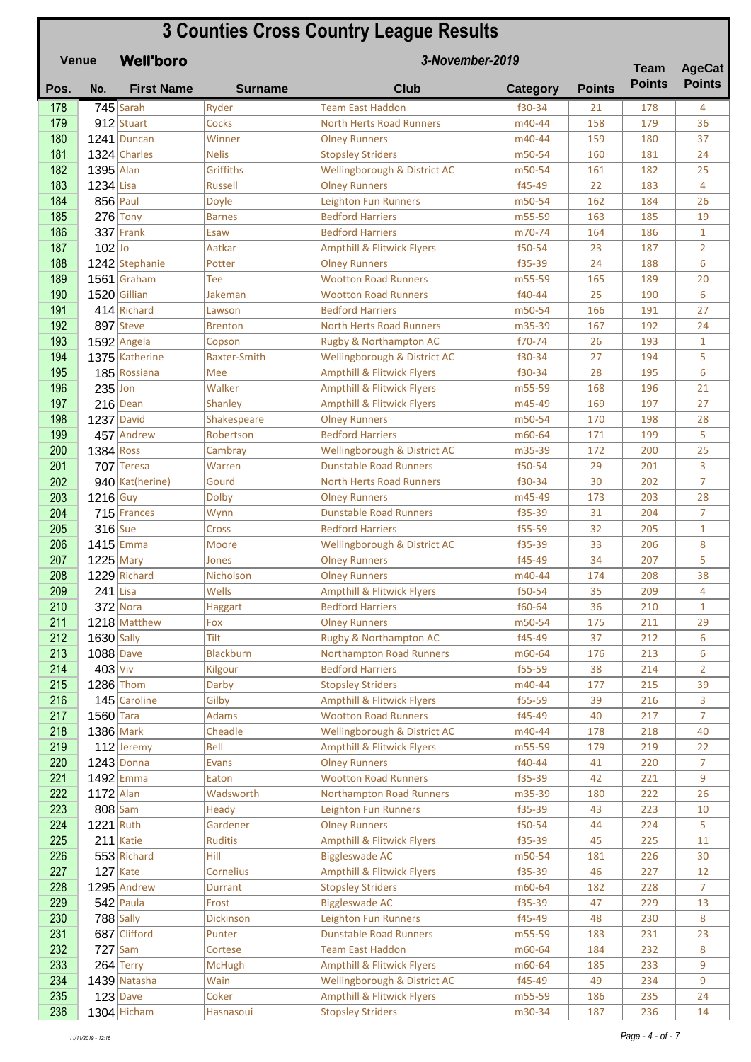### **Well'boro 3 Counties Cross Country League Results**

| <b>Venue</b> |              | <b>Well'boro</b>  |                     | 3-November-2019                                     | <b>Team</b>      | <b>AgeCat</b> |               |                     |
|--------------|--------------|-------------------|---------------------|-----------------------------------------------------|------------------|---------------|---------------|---------------------|
| Pos.         | No.          | <b>First Name</b> | <b>Surname</b>      | <b>Club</b>                                         | Category         | <b>Points</b> | <b>Points</b> | <b>Points</b>       |
| 178          |              | $745$ Sarah       | Ryder               | <b>Team East Haddon</b>                             | f30-34           | 21            | 178           | $\overline{4}$      |
| 179          |              | $912$ Stuart      | <b>Cocks</b>        | <b>North Herts Road Runners</b>                     | m40-44           | 158           | 179           | 36                  |
| 180          |              | 1241 Duncan       | Winner              | <b>Olney Runners</b>                                | m40-44           | 159           | 180           | 37                  |
| 181          |              | 1324 Charles      | <b>Nelis</b>        | <b>Stopsley Striders</b>                            | m50-54           | 160           | 181           | 24                  |
| 182          | 1395 Alan    |                   | Griffiths           | Wellingborough & District AC                        | m50-54           | 161           | 182           | 25                  |
| 183          | $1234$ Lisa  |                   | <b>Russell</b>      | <b>Olney Runners</b>                                | f45-49           | 22            | 183           | $\overline{4}$      |
| 184          |              | $856$ Paul        | <b>Doyle</b>        | <b>Leighton Fun Runners</b>                         | m50-54           | 162           | 184           | 26                  |
| 185          |              | $276$ Tony        | <b>Barnes</b>       | <b>Bedford Harriers</b>                             | m55-59           | 163           | 185           | 19                  |
| 186          |              | $337$ Frank       | Esaw                | <b>Bedford Harriers</b>                             | m70-74           | 164           | 186           | $\mathbf{1}$        |
| 187          | $102$ Jo     |                   | Aatkar              | <b>Ampthill &amp; Flitwick Flyers</b>               | f50-54           | 23            | 187           | $\overline{2}$      |
| 188          |              | 1242 Stephanie    | Potter              | <b>Olney Runners</b>                                | f35-39           | 24            | 188           | 6                   |
| 189          |              | 1561 Graham       | Tee                 | <b>Wootton Road Runners</b>                         | m55-59           | 165           | 189           | 20                  |
| 190          |              | 1520 Gillian      | Jakeman             | <b>Wootton Road Runners</b>                         | f40-44           | 25            | 190           | 6                   |
| 191          |              | 414 Richard       | Lawson              | <b>Bedford Harriers</b>                             | m50-54           | 166           | 191           | 27                  |
| 192          |              | 897 Steve         | <b>Brenton</b>      | <b>North Herts Road Runners</b>                     | m35-39           | 167           | 192           | 24                  |
| 193          |              | $1592$ Angela     | Copson              | Rugby & Northampton AC                              | f70-74           | 26            | 193           | $\mathbf{1}$        |
| 194          |              | 1375 Katherine    | <b>Baxter-Smith</b> | Wellingborough & District AC                        | f30-34           | 27            | 194           | 5                   |
| 195          |              | 185 Rossiana      | Mee                 | <b>Ampthill &amp; Flitwick Flyers</b>               | f30-34           | 28            | 195           | 6                   |
| 196          | $235$ Jon    |                   | Walker              | <b>Ampthill &amp; Flitwick Flyers</b>               | m55-59           | 168           | 196           | 21                  |
| 197          |              | $216$ Dean        | Shanley             | <b>Ampthill &amp; Flitwick Flyers</b>               | m45-49           | 169           | 197           | 27                  |
| 198          | 1237         | David             | Shakespeare         | <b>Olney Runners</b>                                | m50-54           | 170           | 198           | 28                  |
| 199          |              | 457 Andrew        | Robertson           | <b>Bedford Harriers</b>                             | m60-64           | 171           | 199           | 5                   |
| 200          | $1384$ Ross  |                   | Cambray             | Wellingborough & District AC                        | m35-39           | 172           | 200           | 25                  |
| 201          |              | $707$ Teresa      | Warren              | <b>Dunstable Road Runners</b>                       | f50-54           | 29            | 201           | 3                   |
| 202          |              | 940 Kat(herine)   | Gourd               | <b>North Herts Road Runners</b>                     | f30-34           | 30            | 202           | $\overline{7}$      |
| 203          | $1216$ Guy   |                   | <b>Dolby</b>        | <b>Olney Runners</b>                                | m45-49           | 173           | 203           | 28                  |
| 204          |              | 715 Frances       | Wynn                | <b>Dunstable Road Runners</b>                       | f35-39           | 31            | 204           | $\overline{7}$      |
| 205          | $316$ Sue    |                   | Cross               | <b>Bedford Harriers</b>                             | f55-59           | 32            | 205           | $\mathbf{1}$        |
| 206          |              | $1415$ Emma       | Moore               | Wellingborough & District AC                        | f35-39           | 33            | 206           | 8                   |
| 207          | $1225$ Mary  |                   | Jones               | <b>Olney Runners</b>                                | f45-49           | 34            | 207           | 5                   |
| 208          |              | 1229 Richard      | Nicholson           | <b>Olney Runners</b>                                | m40-44           | 174           | 208           | 38                  |
| 209          | $241$ Lisa   |                   | Wells               | <b>Ampthill &amp; Flitwick Flyers</b>               | f50-54           | 35            | 209           | $\overline{4}$      |
| 210          |              | $372$ Nora        | Haggart             | <b>Bedford Harriers</b>                             | f60-64           | 36            | 210           | $\mathbf{1}$        |
| 211          |              | 1218 Matthew      | Fox                 | <b>Olney Runners</b>                                | m50-54           | 175           | 211           | 29                  |
| 212          | $1630$ Sally |                   | Tilt                | Rugby & Northampton AC                              | f45-49           | 37            | 212           | 6                   |
| 213          | $1088$ Dave  |                   | <b>Blackburn</b>    | Northampton Road Runners                            | m60-64           | 176           | 213           | 6                   |
| 214          | $403$ Viv    |                   | Kilgour             | <b>Bedford Harriers</b>                             | f55-59           | 38            | 214           | 2                   |
| 215          |              | 1286 Thom         | Darby               | <b>Stopsley Striders</b>                            | m40-44           | 177           | 215           | 39                  |
| 216          |              | 145 Caroline      | Gilby               | <b>Ampthill &amp; Flitwick Flyers</b>               | f55-59           | 39            | 216           | 3                   |
| 217          | $1560$ Tara  |                   | <b>Adams</b>        | <b>Wootton Road Runners</b>                         | f45-49           | 40            | 217           | 7                   |
| 218          | $1386$ Mark  |                   | Cheadle             | Wellingborough & District AC                        | m40-44           | 178           | 218           | 40                  |
| 219          |              | 112 Jeremy        | <b>Bell</b>         | <b>Ampthill &amp; Flitwick Flyers</b>               | m55-59           | 179           | 219           | 22                  |
| 220<br>221   |              | $1243$ Donna      | <b>Evans</b>        | <b>Olney Runners</b><br><b>Wootton Road Runners</b> | f40-44           | 41            | 220           | $\overline{7}$<br>9 |
| 222          | $1172$ Alan  | $1492$ Emma       | Eaton<br>Wadsworth  | Northampton Road Runners                            | f35-39<br>m35-39 | 42<br>180     | 221<br>222    | 26                  |
| 223          | $808$ Sam    |                   | Heady               | Leighton Fun Runners                                | f35-39           | 43            | 223           | 10                  |
| 224          | $1221$ Ruth  |                   | Gardener            | <b>Olney Runners</b>                                | f50-54           | 44            | 224           | 5.                  |
| 225          |              | $211$ Katie       | <b>Ruditis</b>      | <b>Ampthill &amp; Flitwick Flyers</b>               | f35-39           | 45            | 225           | 11                  |
| 226          |              | $553$ Richard     | Hill                | <b>Biggleswade AC</b>                               | m50-54           | 181           | 226           | 30                  |
| 227          |              | $127$ Kate        | Cornelius           | <b>Ampthill &amp; Flitwick Flyers</b>               | f35-39           | 46            | 227           | 12                  |
| 228          |              | $1295$ Andrew     | <b>Durrant</b>      | <b>Stopsley Striders</b>                            | m60-64           | 182           | 228           | $\mathcal{I}$       |
| 229          |              | $542$ Paula       | Frost               | <b>Biggleswade AC</b>                               | f35-39           | 47            | 229           | 13                  |
| 230          |              | $788$ Sally       | Dickinson           | Leighton Fun Runners                                | f45-49           | 48            | 230           | 8                   |
| 231          |              | 687 Clifford      | Punter              | <b>Dunstable Road Runners</b>                       | m55-59           | 183           | 231           | 23                  |
| 232          |              | $727$ Sam         | Cortese             | <b>Team East Haddon</b>                             | m60-64           | 184           | 232           | 8                   |
| 233          |              | $264$ Terry       | <b>McHugh</b>       | <b>Ampthill &amp; Flitwick Flyers</b>               | m60-64           | 185           | 233           | 9                   |
| 234          |              | 1439 Natasha      | Wain                | Wellingborough & District AC                        | f45-49           | 49            | 234           | 9                   |
| 235          |              | $123$ Dave        | Coker               | <b>Ampthill &amp; Flitwick Flyers</b>               | m55-59           | 186           | 235           | 24                  |
| 236          |              | $1304$ Hicham     | Hasnasoui           | <b>Stopsley Striders</b>                            | m30-34           | 187           | 236           | 14                  |
|              |              |                   |                     |                                                     |                  |               |               |                     |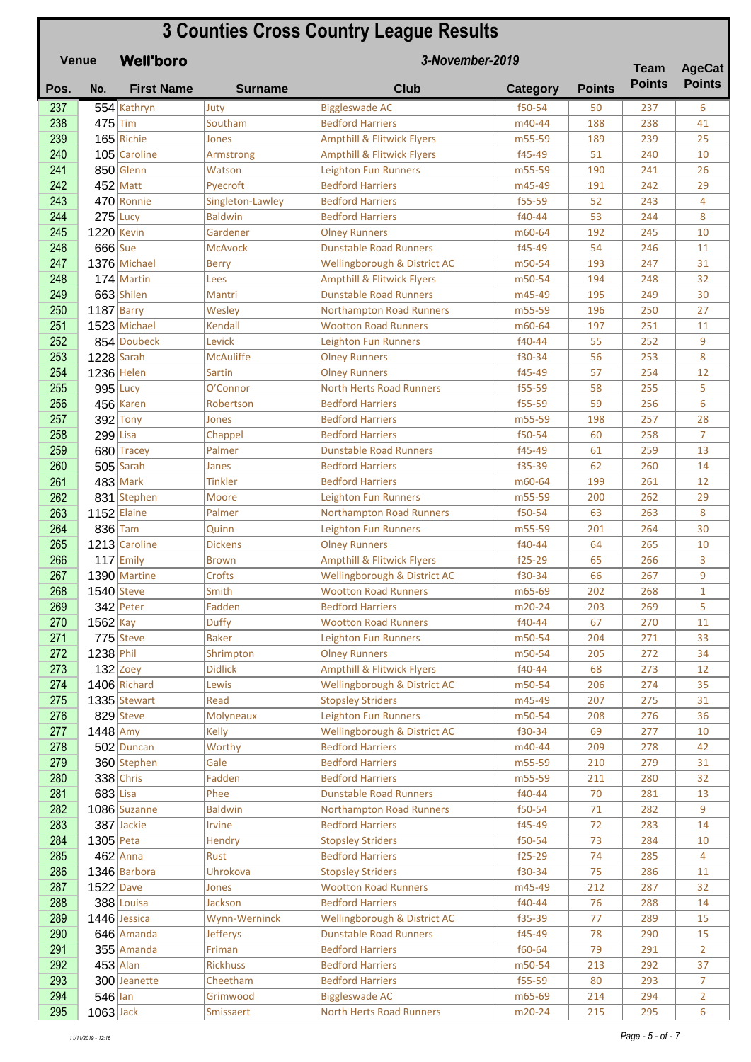### **Pos. No. First Name Surname Club Category Points Well'boro 3 Counties Cross Country League Results Venue Team Points 3-November-2019 Team AgeCat Points** 237 554 Kathryn Juty Biggleswade AC f50-54 50 237 6  $238$  475 Tim Southam Bedford Harriers 1980 188 238 41 239 165 Richie Jones Ampthill & Flitwick Flyers m55-59 189 239 25 240 105 Caroline Armstrong Ampthill & Flitwick Flyers 1545-49 51 240 10 241 850 Glenn Matson Leighton Fun Runners 1955-59 190 241 26  $242$  452 Matt Pyecroft Bedford Harriers 1989 m45-49 191 242 29 **243** 470 Ronnie Singleton-Lawley Bedford Harriers **f** f55-59 52 243 4  $\frac{244}{ }$  275 Lucy Baldwin Bedford Harriers F40-44 53 244 8 245 1220 Kevin Gardener | Olney Runners | m60-64 192 | 245 | 10 246 666 Sue McAvock Dunstable Road Runners 145-49 54 246 11 247 1376 Michael Berry Wellingborough & District AC m50-54 193 247 31 248 174 Martin Lees Ampthill & Flitwick Flyers m50-54 194 248 32 249 663 Shilen Mantri Dunstable Road Runners – m45-49 195 249 30 250 1187 Barry Mesley Northampton Road Runners m55-59 196 250 27 251 1523 Michael Kendall Wootton Road Runners 1986-64 197 251 11 252 854 Doubeck Levick Leighton Fun Runners f40-44 55 252 9 253 1228 Sarah McAuliffe Olney Runners 130-34 56 253 8 254 1236 Helen Sartin Sartin Olney Runners 1994 12 12 255 995 Lucy O'Connor North Herts Road Runners | 155-59 | 58 | 255 | 5  $256$  456 Karen Robertson Bedford Harriers F55-59 59 256 6 257 392 Tony Jones Bedford Harriers 1985-59 198 257 28  $258$  299 Lisa Chappel Bedford Harriers f50-54 60 258 7 259 680 Tracey Palmer Dunstable Road Runners 145-49 61 259 13  $260$  505 Sarah Janes Bedford Harriers 185-39 62 260 14  $261$  483 Mark Tinkler Bedford Harriers 1888 m60-64 199 261 12 **262 831** Stephen Moore Leighton Fun Runners 1955-59 200 262 29 263 1152 Elaine Palmer Northampton Road Runners f50-54 63 263 8 264 836 Tam Quinn Leighton Fun Runners m55-59 201 264 30 **265** 1213 Caroline Dickens **Ollow Runners** 10 and 10 and 10 and 10 and 10 and 10 and 10 and 10 and 10 and 10 and 10 and 10 and 10 and 10 and 10 and 10 and 10 and 10 and 10 and 10 and 10 and 10 and 10 and 10 and 10 and 10 266 117 Emily Brown Ampthill & Flitwick Flyers | 125-29 65 266 3 267 1390 Martine Crofts Wellingborough & District AC f30-34 66 267 9 268 1540 Steve Smith Wootton Road Runners 1 m65-69 202 268 1  $269$  342 Peter Fadden Bedford Harriers – m20-24 203 269 5 **270 1562** Kay  $270$  Duffy Wootton Road Runners **f40-44** 67 270 11 271 775 Steve Baker Leighton Fun Runners – m50-54 204 271 33 272 1238 Phil Shrimpton | Olney Runners | m50-54 205 272 34 273 132 Zoey Didlick Ampthill & Flitwick Flyers f40-44 68 273 12 274 1406 Richard Lewis Wellingborough & District AC m50-54 206 274 35  $275$  1335 Stewart Read Stopsley Striders m45-49 207 275 31 276 829 Steve Molyneaux Leighton Fun Runners 1 m50-54 208 276 36  $277$  1448 Amy Kelly Wellingborough & District AC f30-34 69 277 10  $278$  502 Duncan Worthy Bedford Harriers 1980 140-44 209 278 42  $279$  360 Stephen Gale Bedford Harriers 1985-59 210 279 31 280 338 Chris Fadden Bedford Harriers 1988 1955-59 211 280 32 281 683 Lisa Phee Dunstable Road Runners 140-44 70 281 13 282 1086 Suzanne Baldwin Northampton Road Runners | f50-54 | 71 | 282 | 9 **283 387** Jackie Irvine Bedford Harriers Fata-49 72 283 14

 $284$  1305 Peta Hendry Stopsley Striders F50-54 73 284 10 **285 462** Anna Rust Rust Bedford Harriers **f25-29** 74 285 4 286 1346 Barbora | Uhrokova | Stopsley Striders | f30-34 | 75 | 286 | 11 287 1522 Dave Jones Wootton Road Runners – m45-49 212 287 32  $288$  388 Louisa Jackson Bedford Harriers F40-44 76 288 14 289 1446 Jessica Wynn-Werninck Wellingborough & District AC f35-39 77 289 15 290 646 Amanda Jefferys Dunstable Road Runners F45-49 78 290 15 **291 355** Amanda Friman Bedford Harriers **f** f60-64 79 291 2 **292 453** Alan Rickhuss Bedford Harriers – m50-54 213 292 37 **293** 300 Jeanette Cheetham Bedford Harriers **f**55-59 80 293 7 294 546 Ian Grimwood Biggleswade AC m65-69 214 294 2 295 1063 Jack Smissaert North Herts Road Runners 1 m20-24 215 295 6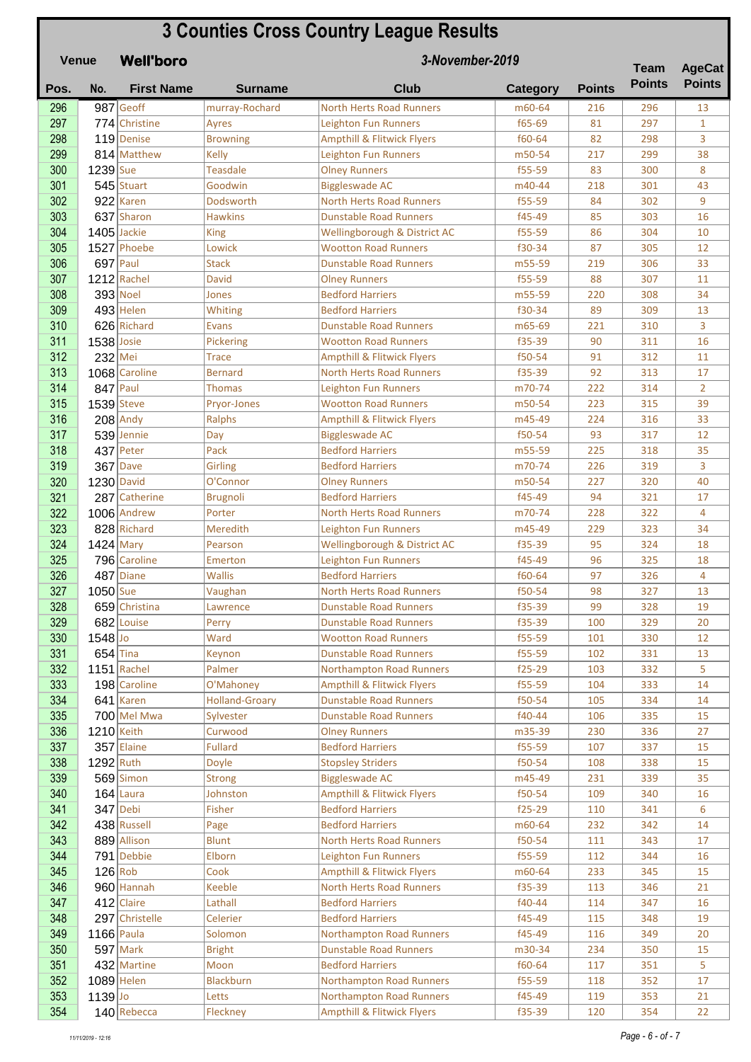#### **Pos. No. First Name Surname Club Category Points Well'boro 3 Counties Cross Country League Results Venue Team Points 3-November-2019 Team AgeCat Points** 296 987 Geoff murray-Rochard North Herts Road Runners m60-64 216 296 13 297 774 Christine Avres Leighton Fun Runners f65-69 81 297 1 **298 119** Denise Browning Ampthill & Flitwick Flyers f60-64 82 298 3 299 814 Matthew Kelly Leighton Fun Runners 1995-54 217 299 38  $\frac{300}{ }$  1239 Sue Teasdale  $\qquad$  Olney Runners  $\qquad$  f55-59  $\qquad$  83  $\qquad$  300  $\qquad$  8 **301 545** Stuart Goodwin Biggleswade AC m40-44 218 301 43 302 922 Karen 10 Dodsworth North Herts Road Runners 1 55-59 84 302 9 303 637 Sharon Hawkins Dunstable Road Runners f45-49 85 303 16 304 1405 Jackie King King Wellingborough & District AC f55-59 | 86 | 304 | 10 305 1527 Phoebe Lowick Wootton Road Runners 130-34 87 305 12 306 697 Paul Stack Dunstable Road Runners 1985-59 219 306 33 **307** 1212 Rachel **David David** Olney Runners **f55-59** 88 307 11 308 393 Noel Jones Bedford Harriers 1993 1993 1998 308 34  $\frac{309}{ }$  493 Helen  $\vert$  Whiting Bedford Harriers 130-34 89 309 13 310 626 Richard Evans Dunstable Road Runners 165-69 221 310 3 311 1538 Josie Pickering Wootton Road Runners | f35-39 90 311 16 312 232 Mei Trace Ampthill & Flitwick Flyers | f50-54 91 312 11 **313 1068 Caroline** Bernard North Herts Road Runners | f35-39 | 92 | 313 | 17  $\frac{314}{847}$  Paul Thomas Leighton Fun Runners – m70-74 222 314 2 315 1539 Steve Pryor-Jones Wootton Road Runners – m50-54 223 315 39 316 208 Andy Ralphs Ampthill & Flitwick Flyers m45-49 224 316 33 317 539 Jennie Day Biggleswade AC f50-54 93 317 12 **318 437** Peter Pack Bedford Harriers **notified to the set of the 437** Peter Pack 35 **319** 367 Dave Girling Bedford Harriers 1980 170-74 226 319 3 **320 1230** David O'Connor Olney Runners Manuel M50-54 227 320 40 **321 287** Catherine Brugnoli Bedford Harriers **f45-49** 94 321 17 322 1006 Andrew Porter North Herts Road Runners 1 m70-74 228 322 4 323 828 Richard Meredith Leighton Fun Runners 1985-49 229 323 34 **324 1424** Mary Pearson Wellingborough & District AC f35-39 95 324 18 325 796 Caroline Emerton Leighton Fun Runners 145-49 96 325 18 **326 487** Diane Wallis Bedford Harriers **f**60-64 97 326 4 327 1050 Sue Vaughan North Herts Road Runners f50-54 98 327 13 328 659 Christina Lawrence Dunstable Road Runners f35-39 99 328 19 329 682 Louise Perry Dunstable Road Runners | f35-39 | 100 | 329 | 20 330 1548 Jo Ward Wootton Road Runners f55-59 101 330 12 331 654 Tina Keynon Dunstable Road Runners | f55-59 | 102 | 331 | 13 332 1151 Rachel Palmer Northampton Road Runners | f25-29 | 103 | 332 | 5 333 198 Caroline O'Mahoney Ampthill & Flitwick Flyers | f55-59 | 104 | 333 | 14 **334 641** Karen Holland-Groary Dunstable Road Runners 150-54 105 334 14  $\frac{335}{200}$  700 Mel Mwa Sylvester Superstable Road Runners F40-44 106 335 15 336 1210 Keith Curwood 10 Olney Runners 1988 135 230 336 27 **337** 357 Elaine Fullard Bedford Harriers **f**55-59 107 337 15  $\frac{338}{1292}$  Ruth Doyle Stopsley Striders f50-54 108 338 15 339 569 Simon Strong Biggleswade AC m45-49 231 339 35 **340 164** Laura Johnston Ampthill & Flitwick Flyers f50-54 109 340 16 **341 347** Debi Fisher Bedford Harriers Fash and the set of the set of the set of the set of the set of the set o **342** 438 Russell Page Bedford Harriers 1488 Russell 14 343 889 Allison Blunt North Herts Road Runners | f50-54 | 111 | 343 | 17 344 791 Debbie Filborn Leighton Fun Runners F55-59 112 344 16 345 126 Rob Cook Ampthill & Flitwick Flyers m60-64 233 345 15 346 960 Hannah Keeble North Herts Road Runners | f35-39 | 113 | 346 | 21 **347 412** Claire Lathall Bedford Harriers **f40-44** 114 347 16 **348 297** Christelle Celerier Bedford Harriers **f45-49** 115 348 19 349 1166 Paula Solomon Northampton Road Runners | f45-49 | 116 | 349 | 20 350 597 Mark Bright Dunstable Road Runners 1980-34 234 350 15 **351 432** Martine Moon Bedford Harriers **f**60-64 117 351 5 352 1089 Helen Blackburn Northampton Road Runners | f55-59 | 118 | 352 | 17 **353 1139** Jo Letts Northampton Road Runners f45-49 119 353 21 354 140 Rebecca Fleckney Ampthill & Flitwick Flyers | f35-39 | 120 | 354 | 22